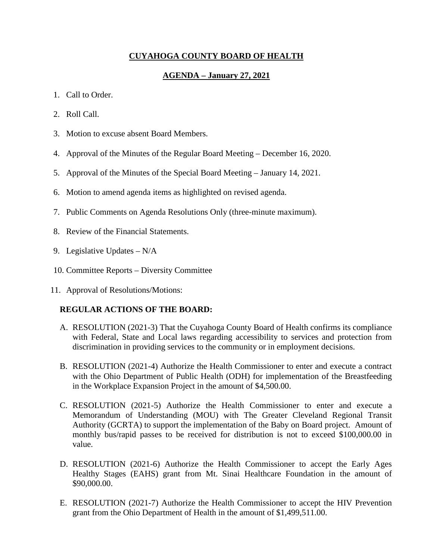## **CUYAHOGA COUNTY BOARD OF HEALTH**

## **AGENDA – January 27, 2021**

- 1. Call to Order.
- 2. Roll Call.
- 3. Motion to excuse absent Board Members.
- 4. Approval of the Minutes of the Regular Board Meeting December 16, 2020.
- 5. Approval of the Minutes of the Special Board Meeting January 14, 2021.
- 6. Motion to amend agenda items as highlighted on revised agenda.
- 7. Public Comments on Agenda Resolutions Only (three-minute maximum).
- 8. Review of the Financial Statements.
- 9. Legislative Updates N/A
- 10. Committee Reports Diversity Committee
- 11. Approval of Resolutions/Motions:

#### **REGULAR ACTIONS OF THE BOARD:**

- A. RESOLUTION (2021-3) That the Cuyahoga County Board of Health confirms its compliance with Federal, State and Local laws regarding accessibility to services and protection from discrimination in providing services to the community or in employment decisions.
- B. RESOLUTION (2021-4) Authorize the Health Commissioner to enter and execute a contract with the Ohio Department of Public Health (ODH) for implementation of the Breastfeeding in the Workplace Expansion Project in the amount of \$4,500.00.
- C. RESOLUTION (2021-5) Authorize the Health Commissioner to enter and execute a Memorandum of Understanding (MOU) with The Greater Cleveland Regional Transit Authority (GCRTA) to support the implementation of the Baby on Board project. Amount of monthly bus/rapid passes to be received for distribution is not to exceed \$100,000.00 in value.
- D. RESOLUTION (2021-6) Authorize the Health Commissioner to accept the Early Ages Healthy Stages (EAHS) grant from Mt. Sinai Healthcare Foundation in the amount of \$90,000.00.
- E. RESOLUTION (2021-7) Authorize the Health Commissioner to accept the HIV Prevention grant from the Ohio Department of Health in the amount of \$1,499,511.00.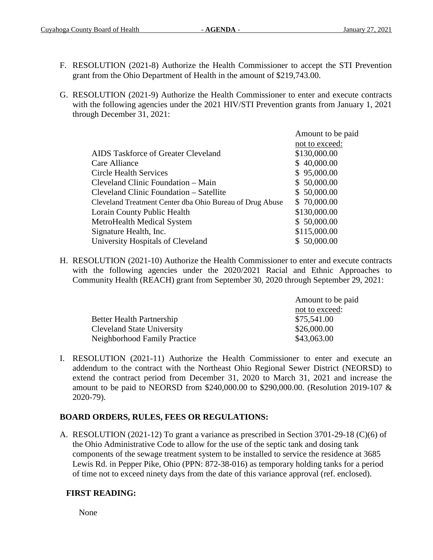- F. RESOLUTION (2021-8) Authorize the Health Commissioner to accept the STI Prevention grant from the Ohio Department of Health in the amount of \$219,743.00.
- G. RESOLUTION (2021-9) Authorize the Health Commissioner to enter and execute contracts with the following agencies under the 2021 HIV/STI Prevention grants from January 1, 2021 through December 31, 2021:

|                                                          | Amount to be paid |
|----------------------------------------------------------|-------------------|
|                                                          | not to exceed:    |
| AIDS Taskforce of Greater Cleveland                      | \$130,000.00      |
| Care Alliance                                            | \$40,000.00       |
| Circle Health Services                                   | \$95,000.00       |
| Cleveland Clinic Foundation – Main                       | \$50,000.00       |
| Cleveland Clinic Foundation – Satellite                  | \$50,000.00       |
| Cleveland Treatment Center dba Ohio Bureau of Drug Abuse | \$70,000.00       |
| Lorain County Public Health                              | \$130,000.00      |
| <b>MetroHealth Medical System</b>                        | \$50,000.00       |
| Signature Health, Inc.                                   | \$115,000.00      |
| University Hospitals of Cleveland                        | \$50,000.00       |
|                                                          |                   |

H. RESOLUTION (2021-10) Authorize the Health Commissioner to enter and execute contracts with the following agencies under the 2020/2021 Racial and Ethnic Approaches to Community Health (REACH) grant from September 30, 2020 through September 29, 2021:

|                                   | Amount to be paid |
|-----------------------------------|-------------------|
|                                   | not to exceed:    |
| <b>Better Health Partnership</b>  | \$75,541.00       |
| <b>Cleveland State University</b> | \$26,000.00       |
| Neighborhood Family Practice      | \$43,063.00       |

I. RESOLUTION (2021-11) Authorize the Health Commissioner to enter and execute an addendum to the contract with the Northeast Ohio Regional Sewer District (NEORSD) to extend the contract period from December 31, 2020 to March 31, 2021 and increase the amount to be paid to NEORSD from \$240,000.00 to \$290,000.00. (Resolution 2019-107 & 2020-79).

## **BOARD ORDERS, RULES, FEES OR REGULATIONS:**

A. RESOLUTION (2021-12) To grant a variance as prescribed in Section 3701-29-18 (C)(6) of the Ohio Administrative Code to allow for the use of the septic tank and dosing tank components of the sewage treatment system to be installed to service the residence at 3685 Lewis Rd. in Pepper Pike, Ohio (PPN: 872-38-016) as temporary holding tanks for a period of time not to exceed ninety days from the date of this variance approval (ref. enclosed).

# **FIRST READING:**

None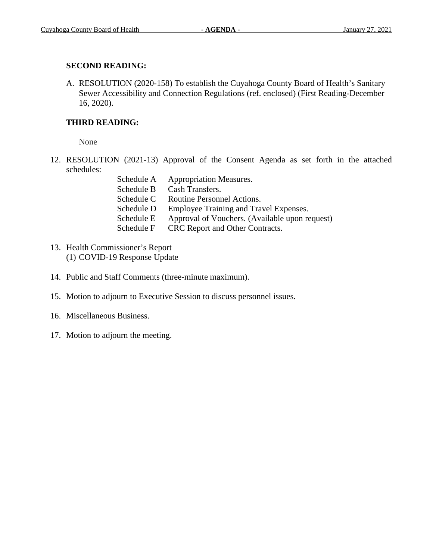# **SECOND READING:**

A. RESOLUTION (2020-158) To establish the Cuyahoga County Board of Health's Sanitary Sewer Accessibility and Connection Regulations (ref. enclosed) (First Reading-December 16, 2020).

# **THIRD READING:**

None

12. RESOLUTION (2021-13) Approval of the Consent Agenda as set forth in the attached schedules:

| Schedule A | <b>Appropriation Measures.</b>                 |
|------------|------------------------------------------------|
| Schedule B | Cash Transfers.                                |
| Schedule C | Routine Personnel Actions.                     |
| Schedule D | Employee Training and Travel Expenses.         |
| Schedule E | Approval of Vouchers. (Available upon request) |
| Schedule F | CRC Report and Other Contracts.                |

- 13. Health Commissioner's Report (1) COVID-19 Response Update
- 14. Public and Staff Comments (three-minute maximum).
- 15. Motion to adjourn to Executive Session to discuss personnel issues.
- 16. Miscellaneous Business.
- 17. Motion to adjourn the meeting.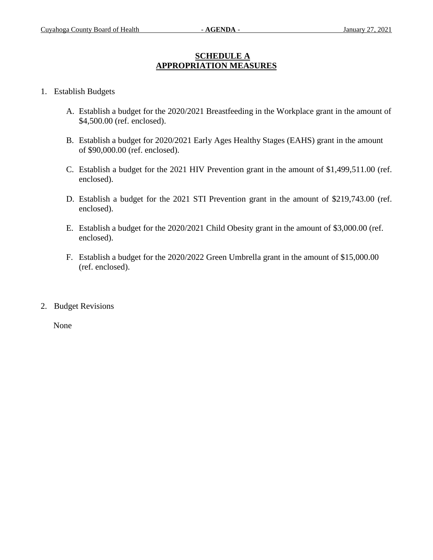## **SCHEDULE A APPROPRIATION MEASURES**

- 1. Establish Budgets
	- A. Establish a budget for the 2020/2021 Breastfeeding in the Workplace grant in the amount of \$4,500.00 (ref. enclosed).
	- B. Establish a budget for 2020/2021 Early Ages Healthy Stages (EAHS) grant in the amount of \$90,000.00 (ref. enclosed).
	- C. Establish a budget for the 2021 HIV Prevention grant in the amount of \$1,499,511.00 (ref. enclosed).
	- D. Establish a budget for the 2021 STI Prevention grant in the amount of \$219,743.00 (ref. enclosed).
	- E. Establish a budget for the 2020/2021 Child Obesity grant in the amount of \$3,000.00 (ref. enclosed).
	- F. Establish a budget for the 2020/2022 Green Umbrella grant in the amount of \$15,000.00 (ref. enclosed).
- 2. Budget Revisions

None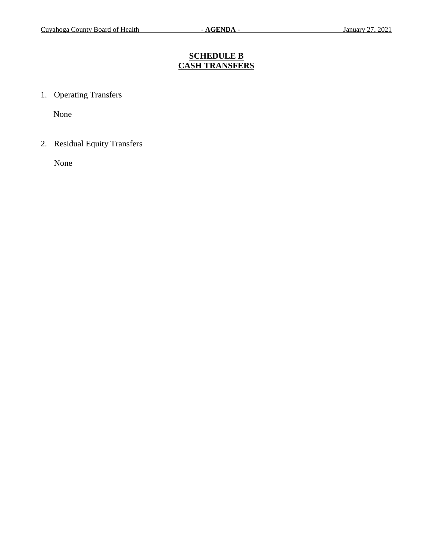# **SCHEDULE B CASH TRANSFERS**

1. Operating Transfers

None

2. Residual Equity Transfers

None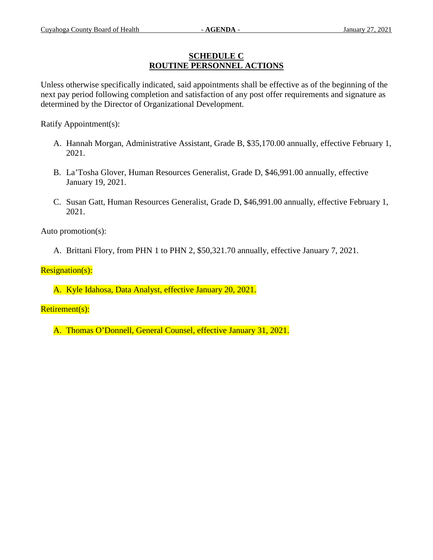## **SCHEDULE C ROUTINE PERSONNEL ACTIONS**

Unless otherwise specifically indicated, said appointments shall be effective as of the beginning of the next pay period following completion and satisfaction of any post offer requirements and signature as determined by the Director of Organizational Development.

Ratify Appointment(s):

- A. Hannah Morgan, Administrative Assistant, Grade B, \$35,170.00 annually, effective February 1, 2021.
- B. La'Tosha Glover, Human Resources Generalist, Grade D, \$46,991.00 annually, effective January 19, 2021.
- C. Susan Gatt, Human Resources Generalist, Grade D, \$46,991.00 annually, effective February 1, 2021.

Auto promotion(s):

A. Brittani Flory, from PHN 1 to PHN 2, \$50,321.70 annually, effective January 7, 2021.

Resignation(s):

A. Kyle Idahosa, Data Analyst, effective January 20, 2021.

Retirement(s):

A. Thomas O'Donnell, General Counsel, effective January 31, 2021.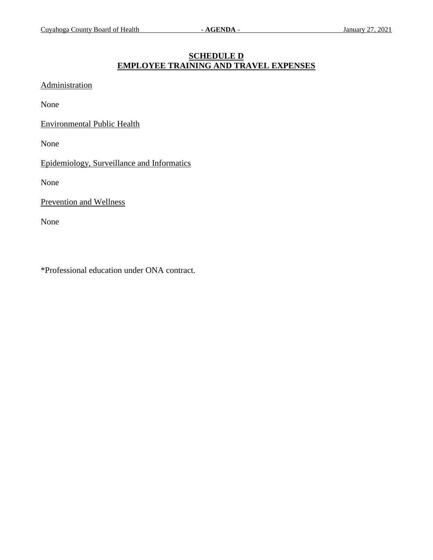## **SCHEDULE D EMPLOYEE TRAINING AND TRAVEL EXPENSES**

**Administration** 

None

Environmental Public Health

None

Epidemiology, Surveillance and Informatics

None

Prevention and Wellness

None

\*Professional education under ONA contract.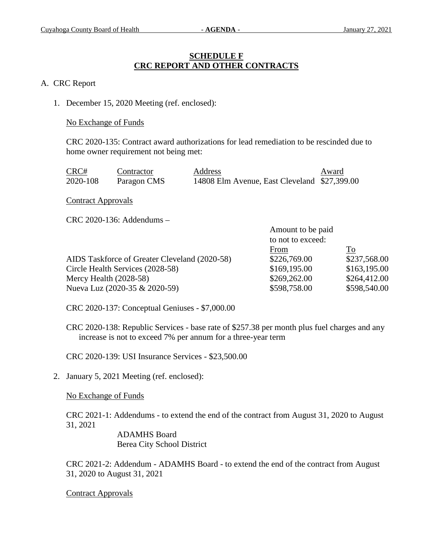#### **SCHEDULE F CRC REPORT AND OTHER CONTRACTS**

#### A. CRC Report

1. December 15, 2020 Meeting (ref. enclosed):

#### No Exchange of Funds

CRC 2020-135: Contract award authorizations for lead remediation to be rescinded due to home owner requirement not being met:

| CRC#     | Contractor  | Address                                      | Award |
|----------|-------------|----------------------------------------------|-------|
| 2020-108 | Paragon CMS | 14808 Elm Avenue, East Cleveland \$27,399.00 |       |

Contract Approvals

CRC 2020-136: Addendums –

| Amount to be paid |              |
|-------------------|--------------|
| to not to exceed: |              |
| From              | To           |
| \$226,769.00      | \$237,568.00 |
| \$169,195.00      | \$163,195.00 |
| \$269,262.00      | \$264,412.00 |
| \$598,758.00      | \$598,540.00 |
|                   |              |

CRC 2020-137: Conceptual Geniuses - \$7,000.00

CRC 2020-138: Republic Services - base rate of \$257.38 per month plus fuel charges and any increase is not to exceed 7% per annum for a three-year term

CRC 2020-139: USI Insurance Services - \$23,500.00

2. January 5, 2021 Meeting (ref. enclosed):

No Exchange of Funds

CRC 2021-1: Addendums - to extend the end of the contract from August 31, 2020 to August 31, 2021

> ADAMHS Board Berea City School District

CRC 2021-2: Addendum - ADAMHS Board - to extend the end of the contract from August 31, 2020 to August 31, 2021

Contract Approvals